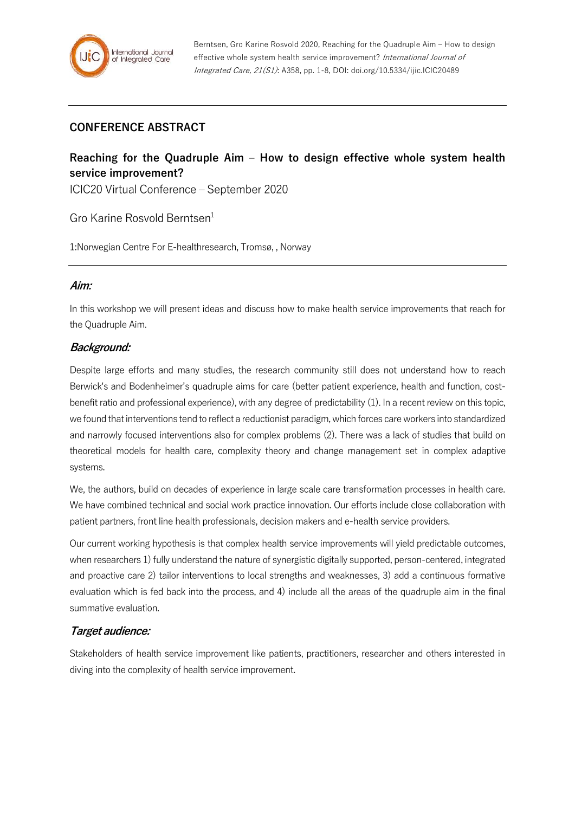## **CONFERENCE ABSTRACT**

# **Reaching for the Quadruple Aim – How to design effective whole system health service improvement?**

ICIC20 Virtual Conference – September 2020

Gro Karine Rosvold Berntsen $1$ 

1:Norwegian Centre For E-healthresearch, Tromsø, , Norway

#### **Aim:**

In this workshop we will present ideas and discuss how to make health service improvements that reach for the Quadruple Aim.

## **Background:**

Despite large efforts and many studies, the research community still does not understand how to reach Berwick's and Bodenheimer's quadruple aims for care (better patient experience, health and function, costbenefit ratio and professional experience), with any degree of predictability (1). In a recent review on this topic, we found that interventions tend to reflect a reductionist paradigm, which forces care workers into standardized and narrowly focused interventions also for complex problems (2). There was a lack of studies that build on theoretical models for health care, complexity theory and change management set in complex adaptive systems.

We, the authors, build on decades of experience in large scale care transformation processes in health care. We have combined technical and social work practice innovation. Our efforts include close collaboration with patient partners, front line health professionals, decision makers and e-health service providers.

Our current working hypothesis is that complex health service improvements will yield predictable outcomes, when researchers 1) fully understand the nature of synergistic digitally supported, person-centered, integrated and proactive care 2) tailor interventions to local strengths and weaknesses, 3) add a continuous formative evaluation which is fed back into the process, and 4) include all the areas of the quadruple aim in the final summative evaluation.

## **Target audience:**

Stakeholders of health service improvement like patients, practitioners, researcher and others interested in diving into the complexity of health service improvement.